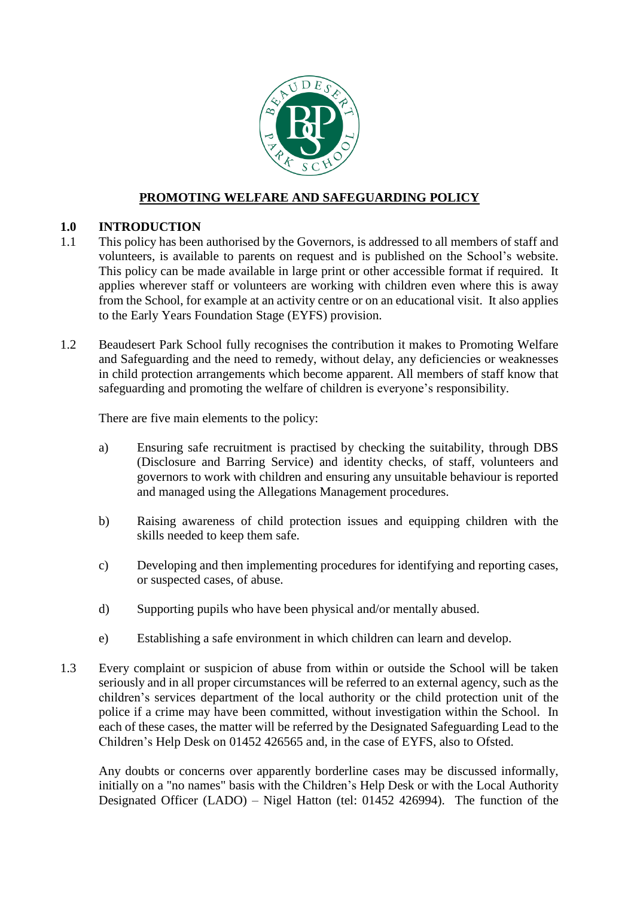

# **PROMOTING WELFARE AND SAFEGUARDING POLICY**

### **1.0 INTRODUCTION**

- 1.1 This policy has been authorised by the Governors, is addressed to all members of staff and volunteers, is available to parents on request and is published on the School's website. This policy can be made available in large print or other accessible format if required. It applies wherever staff or volunteers are working with children even where this is away from the School, for example at an activity centre or on an educational visit. It also applies to the Early Years Foundation Stage (EYFS) provision.
- 1.2 Beaudesert Park School fully recognises the contribution it makes to Promoting Welfare and Safeguarding and the need to remedy, without delay, any deficiencies or weaknesses in child protection arrangements which become apparent. All members of staff know that safeguarding and promoting the welfare of children is everyone's responsibility.

There are five main elements to the policy:

- a) Ensuring safe recruitment is practised by checking the suitability, through DBS (Disclosure and Barring Service) and identity checks, of staff, volunteers and governors to work with children and ensuring any unsuitable behaviour is reported and managed using the Allegations Management procedures.
- b) Raising awareness of child protection issues and equipping children with the skills needed to keep them safe.
- c) Developing and then implementing procedures for identifying and reporting cases, or suspected cases, of abuse.
- d) Supporting pupils who have been physical and/or mentally abused.
- e) Establishing a safe environment in which children can learn and develop.
- 1.3 Every complaint or suspicion of abuse from within or outside the School will be taken seriously and in all proper circumstances will be referred to an external agency, such as the children's services department of the local authority or the child protection unit of the police if a crime may have been committed, without investigation within the School. In each of these cases, the matter will be referred by the Designated Safeguarding Lead to the Children's Help Desk on 01452 426565 and, in the case of EYFS, also to Ofsted.

Any doubts or concerns over apparently borderline cases may be discussed informally, initially on a "no names" basis with the Children's Help Desk or with the Local Authority Designated Officer (LADO) – Nigel Hatton (tel: 01452 426994). The function of the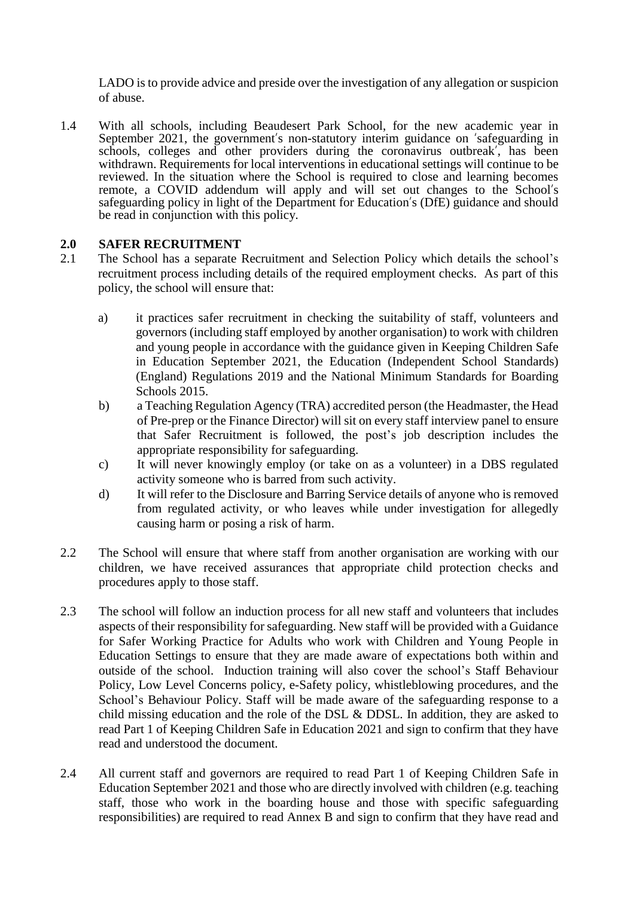LADO is to provide advice and preside over the investigation of any allegation or suspicion of abuse.

1.4 With all schools, including Beaudesert Park School, for the new academic year in September 2021, the government's non-statutory interim guidance on 'safeguarding in schools, colleges and other providers during the coronavirus outbreak', has been withdrawn. Requirements for local interventions in educational settings will continue to be reviewed. In the situation where the School is required to close and learning becomes remote, a COVID addendum will apply and will set out changes to the School's safeguarding policy in light of the Department for Education's (DfE) guidance and should be read in conjunction with this policy.

### **2.0 SAFER RECRUITMENT**

- 2.1 The School has a separate Recruitment and Selection Policy which details the school's recruitment process including details of the required employment checks. As part of this policy, the school will ensure that:
	- a) it practices safer recruitment in checking the suitability of staff, volunteers and governors (including staff employed by another organisation) to work with children and young people in accordance with the guidance given in Keeping Children Safe in Education September 2021, the Education (Independent School Standards) (England) Regulations 2019 and the National Minimum Standards for Boarding Schools 2015.
	- b) a Teaching Regulation Agency (TRA) accredited person (the Headmaster, the Head of Pre-prep or the Finance Director) will sit on every staff interview panel to ensure that Safer Recruitment is followed, the post's job description includes the appropriate responsibility for safeguarding.
	- c) It will never knowingly employ (or take on as a volunteer) in a DBS regulated activity someone who is barred from such activity.
	- d) It will refer to the Disclosure and Barring Service details of anyone who is removed from regulated activity, or who leaves while under investigation for allegedly causing harm or posing a risk of harm.
- 2.2 The School will ensure that where staff from another organisation are working with our children, we have received assurances that appropriate child protection checks and procedures apply to those staff.
- 2.3 The school will follow an induction process for all new staff and volunteers that includes aspects of their responsibility for safeguarding. New staff will be provided with a Guidance for Safer Working Practice for Adults who work with Children and Young People in Education Settings to ensure that they are made aware of expectations both within and outside of the school. Induction training will also cover the school's Staff Behaviour Policy, Low Level Concerns policy, e-Safety policy, whistleblowing procedures, and the School's Behaviour Policy. Staff will be made aware of the safeguarding response to a child missing education and the role of the DSL & DDSL. In addition, they are asked to read Part 1 of Keeping Children Safe in Education 2021 and sign to confirm that they have read and understood the document.
- 2.4 All current staff and governors are required to read Part 1 of Keeping Children Safe in Education September 2021 and those who are directly involved with children (e.g. teaching staff, those who work in the boarding house and those with specific safeguarding responsibilities) are required to read Annex B and sign to confirm that they have read and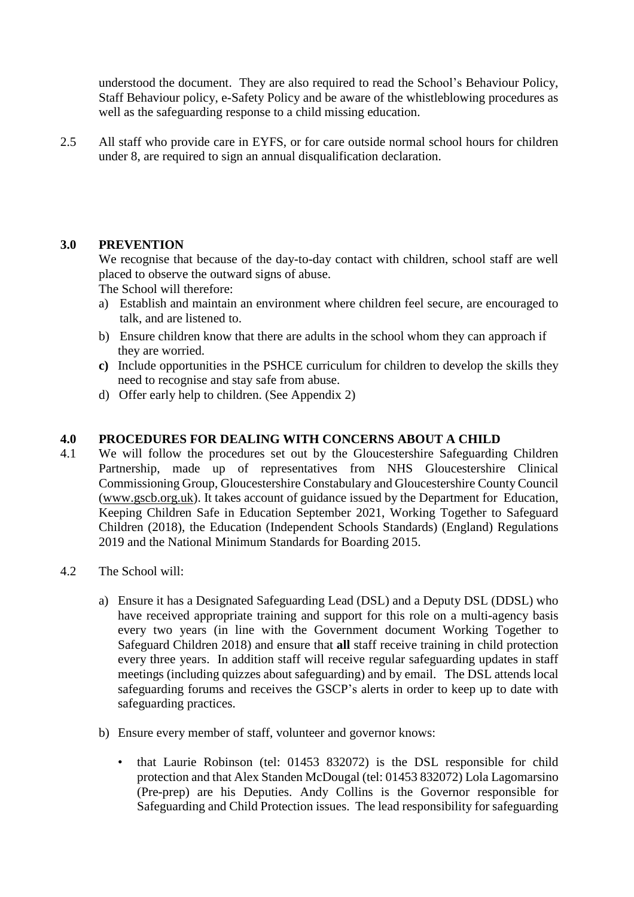understood the document. They are also required to read the School's Behaviour Policy, Staff Behaviour policy, e-Safety Policy and be aware of the whistleblowing procedures as well as the safeguarding response to a child missing education.

2.5 All staff who provide care in EYFS, or for care outside normal school hours for children under 8, are required to sign an annual disqualification declaration.

#### **3.0 PREVENTION**

We recognise that because of the day-to-day contact with children, school staff are well placed to observe the outward signs of abuse.

The School will therefore:

- a) Establish and maintain an environment where children feel secure, are encouraged to talk, and are listened to.
- b) Ensure children know that there are adults in the school whom they can approach if they are worried.
- **c)** Include opportunities in the PSHCE curriculum for children to develop the skills they need to recognise and stay safe from abuse.
- d) Offer early help to children. (See Appendix 2)

### **4.0 PROCEDURES FOR DEALING WITH CONCERNS ABOUT A CHILD**

- 4.1 We will follow the procedures set out by the Gloucestershire Safeguarding Children Partnership, made up of representatives from NHS Gloucestershire Clinical Commissioning Group, Gloucestershire Constabulary and Gloucestershire County Council [\(www.gscb.org.uk\)](http://www.gscb.org.uk/). It takes account of guidance issued by the Department for Education, Keeping Children Safe in Education September 2021, Working Together to Safeguard Children (2018), the Education (Independent Schools Standards) (England) Regulations 2019 and the National Minimum Standards for Boarding 2015.
- 4.2 The School will:
	- a) Ensure it has a Designated Safeguarding Lead (DSL) and a Deputy DSL (DDSL) who have received appropriate training and support for this role on a multi-agency basis every two years (in line with the Government document Working Together to Safeguard Children 2018) and ensure that **all** staff receive training in child protection every three years. In addition staff will receive regular safeguarding updates in staff meetings (including quizzes about safeguarding) and by email. The DSL attends local safeguarding forums and receives the GSCP's alerts in order to keep up to date with safeguarding practices.
	- b) Ensure every member of staff, volunteer and governor knows:
		- that Laurie Robinson (tel: 01453 832072) is the DSL responsible for child protection and that Alex Standen McDougal (tel: 01453 832072) Lola Lagomarsino (Pre-prep) are his Deputies. Andy Collins is the Governor responsible for Safeguarding and Child Protection issues. The lead responsibility for safeguarding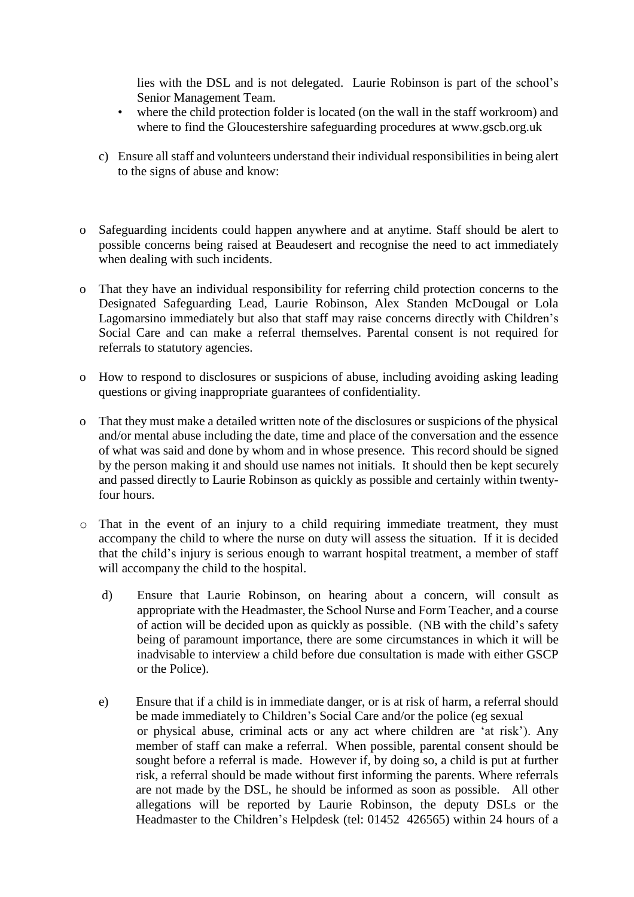lies with the DSL and is not delegated. Laurie Robinson is part of the school's Senior Management Team.

- where the child protection folder is located (on the wall in the staff workroom) and where to find the Gloucestershire safeguarding procedures at www.gscb.org.uk
- c) Ensure all staff and volunteers understand their individual responsibilities in being alert to the signs of abuse and know:
- o Safeguarding incidents could happen anywhere and at anytime. Staff should be alert to possible concerns being raised at Beaudesert and recognise the need to act immediately when dealing with such incidents.
- o That they have an individual responsibility for referring child protection concerns to the Designated Safeguarding Lead, Laurie Robinson, Alex Standen McDougal or Lola Lagomarsino immediately but also that staff may raise concerns directly with Children's Social Care and can make a referral themselves. Parental consent is not required for referrals to statutory agencies.
- o How to respond to disclosures or suspicions of abuse, including avoiding asking leading questions or giving inappropriate guarantees of confidentiality.
- o That they must make a detailed written note of the disclosures or suspicions of the physical and/or mental abuse including the date, time and place of the conversation and the essence of what was said and done by whom and in whose presence. This record should be signed by the person making it and should use names not initials. It should then be kept securely and passed directly to Laurie Robinson as quickly as possible and certainly within twentyfour hours.
- o That in the event of an injury to a child requiring immediate treatment, they must accompany the child to where the nurse on duty will assess the situation. If it is decided that the child's injury is serious enough to warrant hospital treatment, a member of staff will accompany the child to the hospital.
	- d) Ensure that Laurie Robinson, on hearing about a concern, will consult as appropriate with the Headmaster, the School Nurse and Form Teacher, and a course of action will be decided upon as quickly as possible. (NB with the child's safety being of paramount importance, there are some circumstances in which it will be inadvisable to interview a child before due consultation is made with either GSCP or the Police).
	- e) Ensure that if a child is in immediate danger, or is at risk of harm, a referral should be made immediately to Children's Social Care and/or the police (eg sexual or physical abuse, criminal acts or any act where children are 'at risk'). Any member of staff can make a referral. When possible, parental consent should be sought before a referral is made. However if, by doing so, a child is put at further risk, a referral should be made without first informing the parents. Where referrals are not made by the DSL, he should be informed as soon as possible. All other allegations will be reported by Laurie Robinson, the deputy DSLs or the Headmaster to the Children's Helpdesk (tel: 01452 426565) within 24 hours of a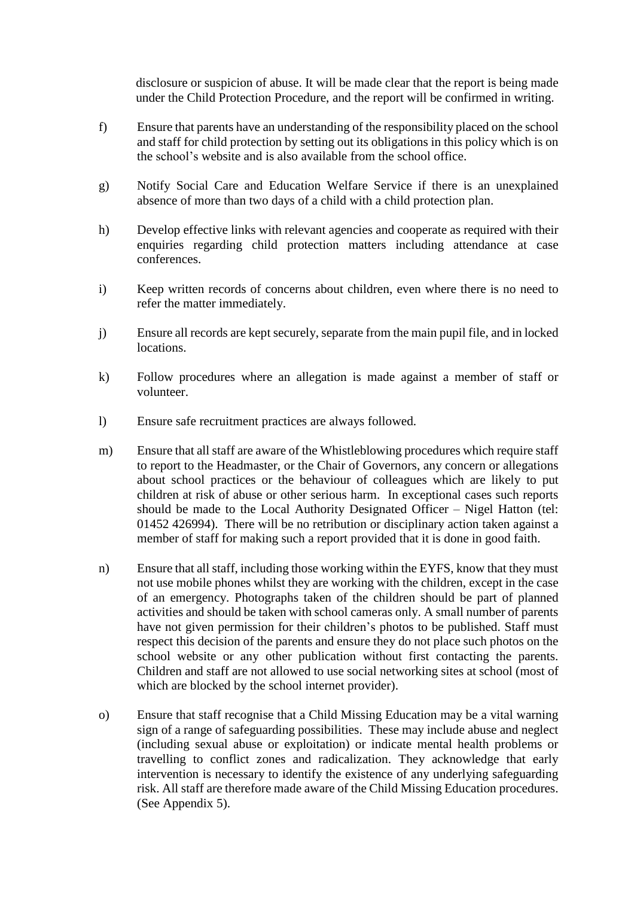disclosure or suspicion of abuse. It will be made clear that the report is being made under the Child Protection Procedure, and the report will be confirmed in writing.

- f) Ensure that parents have an understanding of the responsibility placed on the school and staff for child protection by setting out its obligations in this policy which is on the school's website and is also available from the school office.
- g) Notify Social Care and Education Welfare Service if there is an unexplained absence of more than two days of a child with a child protection plan.
- h) Develop effective links with relevant agencies and cooperate as required with their enquiries regarding child protection matters including attendance at case conferences.
- i) Keep written records of concerns about children, even where there is no need to refer the matter immediately.
- j) Ensure all records are kept securely, separate from the main pupil file, and in locked locations.
- k) Follow procedures where an allegation is made against a member of staff or volunteer.
- l) Ensure safe recruitment practices are always followed.
- m) Ensure that all staff are aware of the Whistleblowing procedures which require staff to report to the Headmaster, or the Chair of Governors, any concern or allegations about school practices or the behaviour of colleagues which are likely to put children at risk of abuse or other serious harm. In exceptional cases such reports should be made to the Local Authority Designated Officer – Nigel Hatton (tel: 01452 426994). There will be no retribution or disciplinary action taken against a member of staff for making such a report provided that it is done in good faith.
- n) Ensure that all staff, including those working within the EYFS, know that they must not use mobile phones whilst they are working with the children, except in the case of an emergency. Photographs taken of the children should be part of planned activities and should be taken with school cameras only. A small number of parents have not given permission for their children's photos to be published. Staff must respect this decision of the parents and ensure they do not place such photos on the school website or any other publication without first contacting the parents. Children and staff are not allowed to use social networking sites at school (most of which are blocked by the school internet provider).
- o) Ensure that staff recognise that a Child Missing Education may be a vital warning sign of a range of safeguarding possibilities. These may include abuse and neglect (including sexual abuse or exploitation) or indicate mental health problems or travelling to conflict zones and radicalization. They acknowledge that early intervention is necessary to identify the existence of any underlying safeguarding risk. All staff are therefore made aware of the Child Missing Education procedures. (See Appendix 5).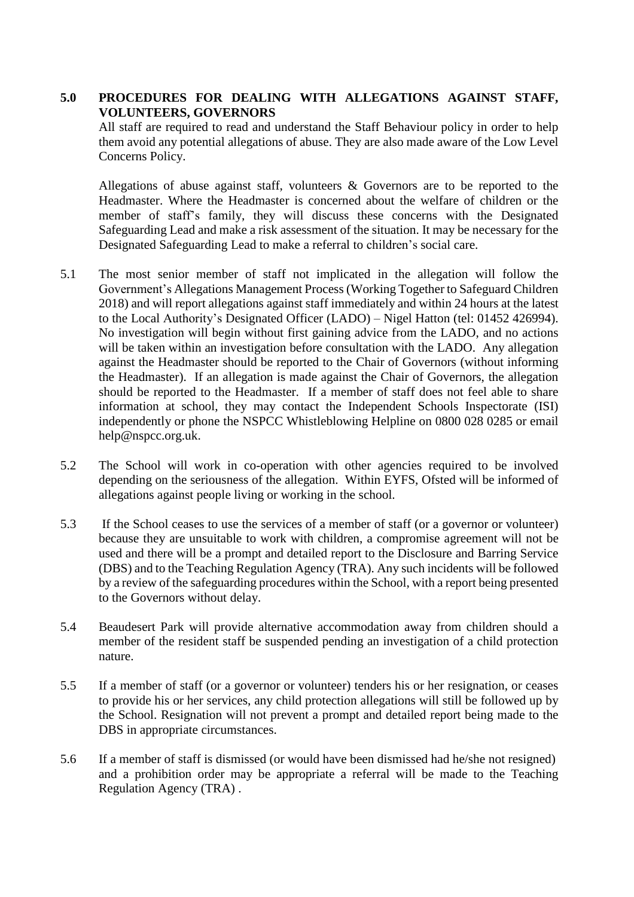### **5.0 PROCEDURES FOR DEALING WITH ALLEGATIONS AGAINST STAFF, VOLUNTEERS, GOVERNORS**

All staff are required to read and understand the Staff Behaviour policy in order to help them avoid any potential allegations of abuse. They are also made aware of the Low Level Concerns Policy.

Allegations of abuse against staff, volunteers & Governors are to be reported to the Headmaster. Where the Headmaster is concerned about the welfare of children or the member of staff's family, they will discuss these concerns with the Designated Safeguarding Lead and make a risk assessment of the situation. It may be necessary for the Designated Safeguarding Lead to make a referral to children's social care.

- 5.1 The most senior member of staff not implicated in the allegation will follow the Government's Allegations Management Process (Working Together to Safeguard Children 2018) and will report allegations against staff immediately and within 24 hours at the latest to the Local Authority's Designated Officer (LADO) – Nigel Hatton (tel: 01452 426994). No investigation will begin without first gaining advice from the LADO, and no actions will be taken within an investigation before consultation with the LADO. Any allegation against the Headmaster should be reported to the Chair of Governors (without informing the Headmaster). If an allegation is made against the Chair of Governors, the allegation should be reported to the Headmaster. If a member of staff does not feel able to share information at school, they may contact the Independent Schools Inspectorate (ISI) independently or phone the NSPCC Whistleblowing Helpline on 0800 028 0285 or email help@nspcc.org.uk.
- 5.2 The School will work in co-operation with other agencies required to be involved depending on the seriousness of the allegation. Within EYFS, Ofsted will be informed of allegations against people living or working in the school.
- 5.3 If the School ceases to use the services of a member of staff (or a governor or volunteer) because they are unsuitable to work with children, a compromise agreement will not be used and there will be a prompt and detailed report to the Disclosure and Barring Service (DBS) and to the Teaching Regulation Agency (TRA). Any such incidents will be followed by a review of the safeguarding procedures within the School, with a report being presented to the Governors without delay.
- 5.4 Beaudesert Park will provide alternative accommodation away from children should a member of the resident staff be suspended pending an investigation of a child protection nature.
- 5.5 If a member of staff (or a governor or volunteer) tenders his or her resignation, or ceases to provide his or her services, any child protection allegations will still be followed up by the School. Resignation will not prevent a prompt and detailed report being made to the DBS in appropriate circumstances.
- 5.6 If a member of staff is dismissed (or would have been dismissed had he/she not resigned) and a prohibition order may be appropriate a referral will be made to the Teaching Regulation Agency (TRA) .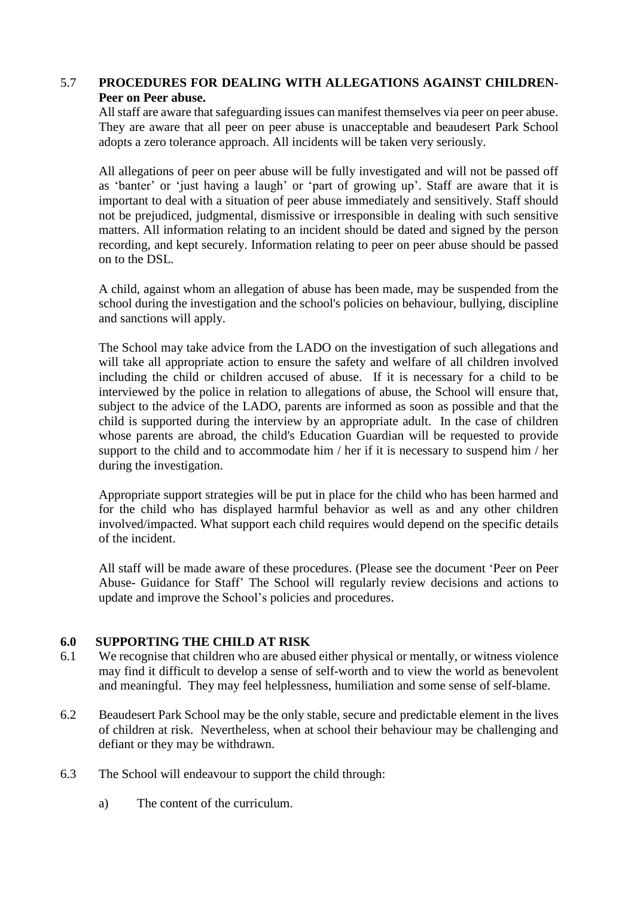# 5.7 **PROCEDURES FOR DEALING WITH ALLEGATIONS AGAINST CHILDREN-Peer on Peer abuse.**

All staff are aware that safeguarding issues can manifest themselves via peer on peer abuse. They are aware that all peer on peer abuse is unacceptable and beaudesert Park School adopts a zero tolerance approach. All incidents will be taken very seriously.

All allegations of peer on peer abuse will be fully investigated and will not be passed off as 'banter' or 'just having a laugh' or 'part of growing up'. Staff are aware that it is important to deal with a situation of peer abuse immediately and sensitively. Staff should not be prejudiced, judgmental, dismissive or irresponsible in dealing with such sensitive matters. All information relating to an incident should be dated and signed by the person recording, and kept securely. Information relating to peer on peer abuse should be passed on to the DSL.

A child, against whom an allegation of abuse has been made, may be suspended from the school during the investigation and the school's policies on behaviour, bullying, discipline and sanctions will apply.

The School may take advice from the LADO on the investigation of such allegations and will take all appropriate action to ensure the safety and welfare of all children involved including the child or children accused of abuse. If it is necessary for a child to be interviewed by the police in relation to allegations of abuse, the School will ensure that, subject to the advice of the LADO, parents are informed as soon as possible and that the child is supported during the interview by an appropriate adult. In the case of children whose parents are abroad, the child's Education Guardian will be requested to provide support to the child and to accommodate him / her if it is necessary to suspend him / her during the investigation.

Appropriate support strategies will be put in place for the child who has been harmed and for the child who has displayed harmful behavior as well as and any other children involved/impacted. What support each child requires would depend on the specific details of the incident.

All staff will be made aware of these procedures. (Please see the document 'Peer on Peer Abuse- Guidance for Staff' The School will regularly review decisions and actions to update and improve the School's policies and procedures.

### **6.0 SUPPORTING THE CHILD AT RISK**

- 6.1 We recognise that children who are abused either physical or mentally, or witness violence may find it difficult to develop a sense of self-worth and to view the world as benevolent and meaningful. They may feel helplessness, humiliation and some sense of self-blame.
- 6.2 Beaudesert Park School may be the only stable, secure and predictable element in the lives of children at risk. Nevertheless, when at school their behaviour may be challenging and defiant or they may be withdrawn.
- 6.3 The School will endeavour to support the child through:
	- a) The content of the curriculum.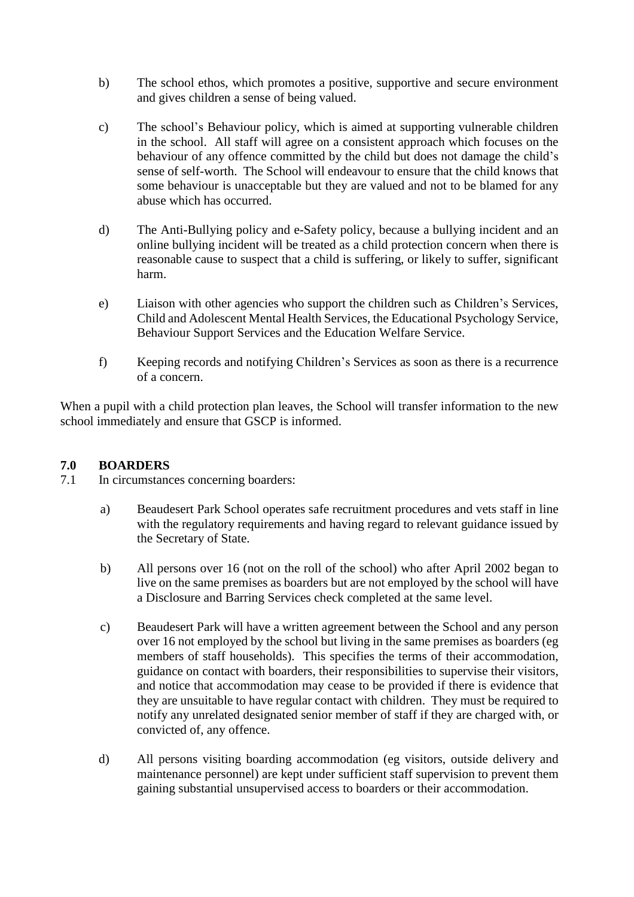- b) The school ethos, which promotes a positive, supportive and secure environment and gives children a sense of being valued.
- c) The school's Behaviour policy, which is aimed at supporting vulnerable children in the school. All staff will agree on a consistent approach which focuses on the behaviour of any offence committed by the child but does not damage the child's sense of self-worth. The School will endeavour to ensure that the child knows that some behaviour is unacceptable but they are valued and not to be blamed for any abuse which has occurred.
- d) The Anti-Bullying policy and e-Safety policy, because a bullying incident and an online bullying incident will be treated as a child protection concern when there is reasonable cause to suspect that a child is suffering, or likely to suffer, significant harm.
- e) Liaison with other agencies who support the children such as Children's Services, Child and Adolescent Mental Health Services, the Educational Psychology Service, Behaviour Support Services and the Education Welfare Service.
- f) Keeping records and notifying Children's Services as soon as there is a recurrence of a concern.

When a pupil with a child protection plan leaves, the School will transfer information to the new school immediately and ensure that GSCP is informed.

### **7.0 BOARDERS**

- 7.1 In circumstances concerning boarders:
	- a) Beaudesert Park School operates safe recruitment procedures and vets staff in line with the regulatory requirements and having regard to relevant guidance issued by the Secretary of State.
	- b) All persons over 16 (not on the roll of the school) who after April 2002 began to live on the same premises as boarders but are not employed by the school will have a Disclosure and Barring Services check completed at the same level.
	- c) Beaudesert Park will have a written agreement between the School and any person over 16 not employed by the school but living in the same premises as boarders (eg members of staff households). This specifies the terms of their accommodation, guidance on contact with boarders, their responsibilities to supervise their visitors, and notice that accommodation may cease to be provided if there is evidence that they are unsuitable to have regular contact with children. They must be required to notify any unrelated designated senior member of staff if they are charged with, or convicted of, any offence.
	- d) All persons visiting boarding accommodation (eg visitors, outside delivery and maintenance personnel) are kept under sufficient staff supervision to prevent them gaining substantial unsupervised access to boarders or their accommodation.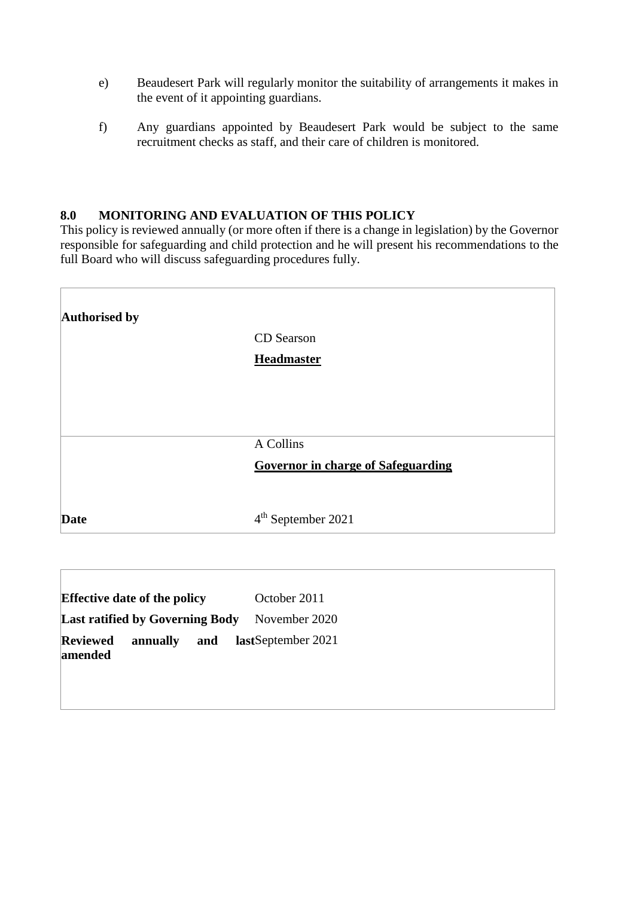- e) Beaudesert Park will regularly monitor the suitability of arrangements it makes in the event of it appointing guardians.
- f) Any guardians appointed by Beaudesert Park would be subject to the same recruitment checks as staff, and their care of children is monitored.

### **8.0 MONITORING AND EVALUATION OF THIS POLICY**

This policy is reviewed annually (or more often if there is a change in legislation) by the Governor responsible for safeguarding and child protection and he will present his recommendations to the full Board who will discuss safeguarding procedures fully.

| Authorised by |                                           |
|---------------|-------------------------------------------|
|               | CD Searson                                |
|               | <b>Headmaster</b>                         |
|               |                                           |
|               |                                           |
|               | A Collins                                 |
|               | <b>Governor in charge of Safeguarding</b> |
|               |                                           |
| Date          | 4 <sup>th</sup> September 2021            |

| <b>Effective date of the policy</b>    |     | October 2011       |
|----------------------------------------|-----|--------------------|
| <b>Last ratified by Governing Body</b> |     | November 2020      |
| <b>Reviewed</b><br>annually<br>amended | and | lastSeptember 2021 |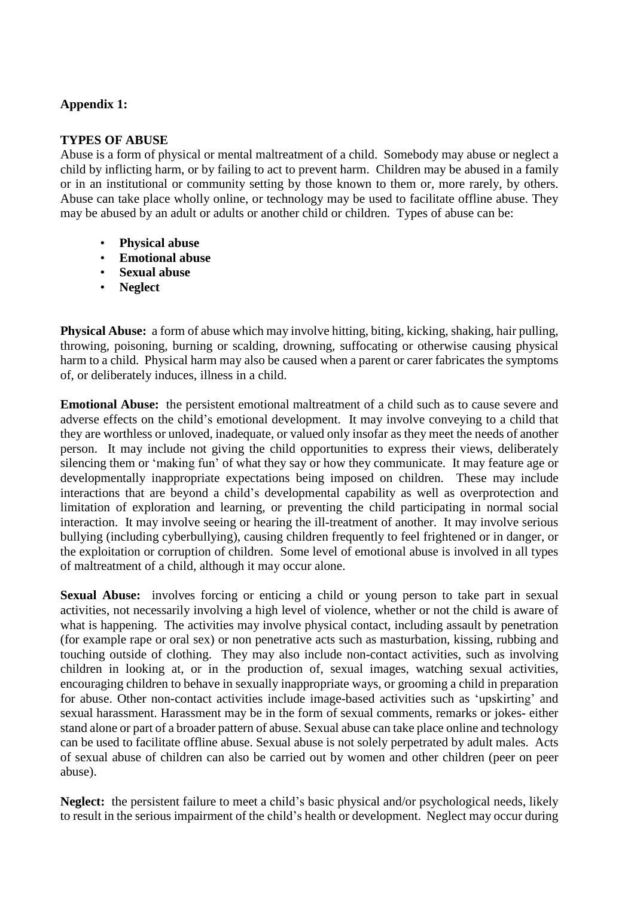### **Appendix 1:**

#### **TYPES OF ABUSE**

Abuse is a form of physical or mental maltreatment of a child. Somebody may abuse or neglect a child by inflicting harm, or by failing to act to prevent harm. Children may be abused in a family or in an institutional or community setting by those known to them or, more rarely, by others. Abuse can take place wholly online, or technology may be used to facilitate offline abuse. They may be abused by an adult or adults or another child or children. Types of abuse can be:

- **Physical abuse**
- **Emotional abuse**
- **Sexual abuse**
- **Neglect**

**Physical Abuse:** a form of abuse which may involve hitting, biting, kicking, shaking, hair pulling, throwing, poisoning, burning or scalding, drowning, suffocating or otherwise causing physical harm to a child. Physical harm may also be caused when a parent or carer fabricates the symptoms of, or deliberately induces, illness in a child.

**Emotional Abuse:** the persistent emotional maltreatment of a child such as to cause severe and adverse effects on the child's emotional development. It may involve conveying to a child that they are worthless or unloved, inadequate, or valued only insofar as they meet the needs of another person. It may include not giving the child opportunities to express their views, deliberately silencing them or 'making fun' of what they say or how they communicate. It may feature age or developmentally inappropriate expectations being imposed on children. These may include interactions that are beyond a child's developmental capability as well as overprotection and limitation of exploration and learning, or preventing the child participating in normal social interaction. It may involve seeing or hearing the ill-treatment of another. It may involve serious bullying (including cyberbullying), causing children frequently to feel frightened or in danger, or the exploitation or corruption of children. Some level of emotional abuse is involved in all types of maltreatment of a child, although it may occur alone.

**Sexual Abuse:** involves forcing or enticing a child or young person to take part in sexual activities, not necessarily involving a high level of violence, whether or not the child is aware of what is happening. The activities may involve physical contact, including assault by penetration (for example rape or oral sex) or non penetrative acts such as masturbation, kissing, rubbing and touching outside of clothing. They may also include non-contact activities, such as involving children in looking at, or in the production of, sexual images, watching sexual activities, encouraging children to behave in sexually inappropriate ways, or grooming a child in preparation for abuse. Other non-contact activities include image-based activities such as 'upskirting' and sexual harassment. Harassment may be in the form of sexual comments, remarks or jokes- either stand alone or part of a broader pattern of abuse. Sexual abuse can take place online and technology can be used to facilitate offline abuse. Sexual abuse is not solely perpetrated by adult males. Acts of sexual abuse of children can also be carried out by women and other children (peer on peer abuse).

**Neglect:** the persistent failure to meet a child's basic physical and/or psychological needs, likely to result in the serious impairment of the child's health or development. Neglect may occur during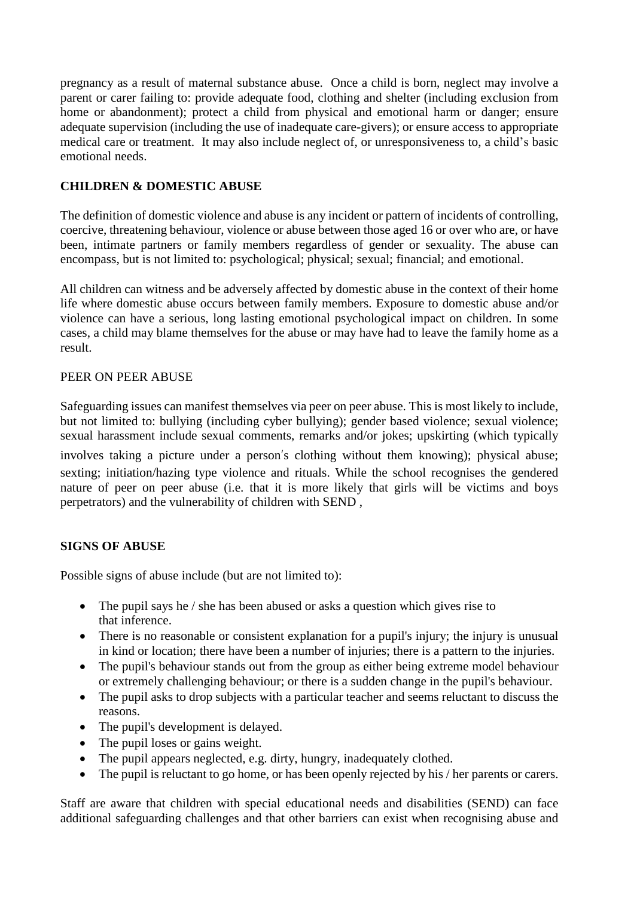pregnancy as a result of maternal substance abuse. Once a child is born, neglect may involve a parent or carer failing to: provide adequate food, clothing and shelter (including exclusion from home or abandonment); protect a child from physical and emotional harm or danger; ensure adequate supervision (including the use of inadequate care-givers); or ensure access to appropriate medical care or treatment. It may also include neglect of, or unresponsiveness to, a child's basic emotional needs.

# **CHILDREN & DOMESTIC ABUSE**

The definition of domestic violence and abuse is any incident or pattern of incidents of controlling, coercive, threatening behaviour, violence or abuse between those aged 16 or over who are, or have been, intimate partners or family members regardless of gender or sexuality. The abuse can encompass, but is not limited to: psychological; physical; sexual; financial; and emotional.

All children can witness and be adversely affected by domestic abuse in the context of their home life where domestic abuse occurs between family members. Exposure to domestic abuse and/or violence can have a serious, long lasting emotional psychological impact on children. In some cases, a child may blame themselves for the abuse or may have had to leave the family home as a result.

#### PEER ON PEER ABUSE

Safeguarding issues can manifest themselves via peer on peer abuse. This is most likely to include, but not limited to: bullying (including cyber bullying); gender based violence; sexual violence; sexual harassment include sexual comments, remarks and/or jokes; upskirting (which typically involves taking a picture under a person's clothing without them knowing); physical abuse; sexting; initiation/hazing type violence and rituals. While the school recognises the gendered nature of peer on peer abuse (i.e. that it is more likely that girls will be victims and boys perpetrators) and the vulnerability of children with SEND ,

### **SIGNS OF ABUSE**

Possible signs of abuse include (but are not limited to):

- The pupil says he / she has been abused or asks a question which gives rise to that inference.
- There is no reasonable or consistent explanation for a pupil's injury; the injury is unusual in kind or location; there have been a number of injuries; there is a pattern to the injuries.
- The pupil's behaviour stands out from the group as either being extreme model behaviour or extremely challenging behaviour; or there is a sudden change in the pupil's behaviour.
- The pupil asks to drop subjects with a particular teacher and seems reluctant to discuss the reasons.
- The pupil's development is delayed.
- The pupil loses or gains weight.
- The pupil appears neglected, e.g. dirty, hungry, inadequately clothed.
- The pupil is reluctant to go home, or has been openly rejected by his / her parents or carers.

Staff are aware that children with special educational needs and disabilities (SEND) can face additional safeguarding challenges and that other barriers can exist when recognising abuse and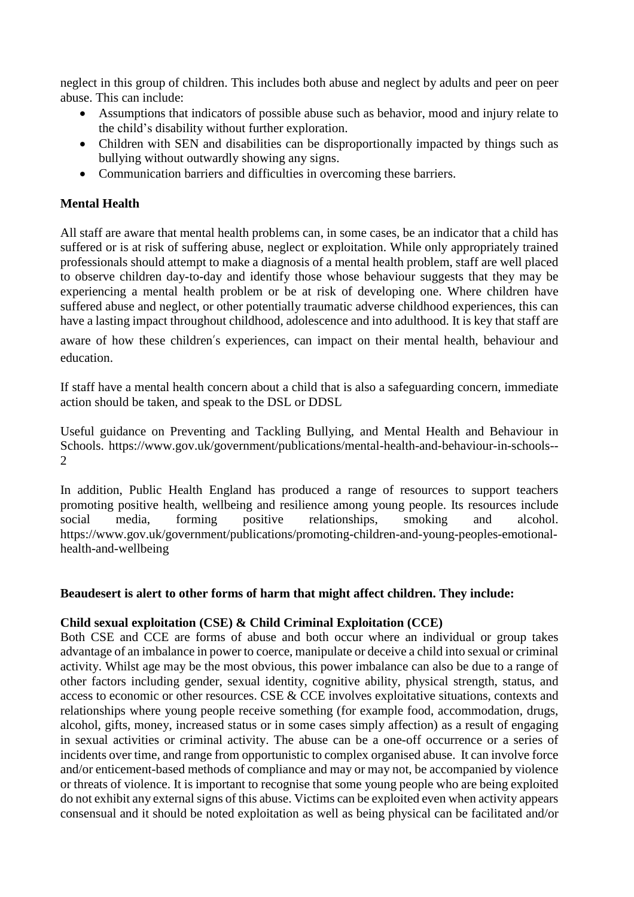neglect in this group of children. This includes both abuse and neglect by adults and peer on peer abuse. This can include:

- Assumptions that indicators of possible abuse such as behavior, mood and injury relate to the child's disability without further exploration.
- Children with SEN and disabilities can be disproportionally impacted by things such as bullying without outwardly showing any signs.
- Communication barriers and difficulties in overcoming these barriers.

# **Mental Health**

All staff are aware that mental health problems can, in some cases, be an indicator that a child has suffered or is at risk of suffering abuse, neglect or exploitation. While only appropriately trained professionals should attempt to make a diagnosis of a mental health problem, staff are well placed to observe children day-to-day and identify those whose behaviour suggests that they may be experiencing a mental health problem or be at risk of developing one. Where children have suffered abuse and neglect, or other potentially traumatic adverse childhood experiences, this can have a lasting impact throughout childhood, adolescence and into adulthood. It is key that staff are

aware of how these children's experiences, can impact on their mental health, behaviour and education.

If staff have a mental health concern about a child that is also a safeguarding concern, immediate action should be taken, and speak to the DSL or DDSL

Useful guidance on Preventing and Tackling Bullying, and Mental Health and Behaviour in Schools. https://www.gov.uk/government/publications/mental-health-and-behaviour-in-schools-- 2

In addition, Public Health England has produced a range of resources to support teachers promoting positive health, wellbeing and resilience among young people. Its resources include social media, forming positive relationships, smoking and alcohol. https://www.gov.uk/government/publications/promoting-children-and-young-peoples-emotionalhealth-and-wellbeing

### **Beaudesert is alert to other forms of harm that might affect children. They include:**

### **Child sexual exploitation (CSE) & Child Criminal Exploitation (CCE)**

Both CSE and CCE are forms of abuse and both occur where an individual or group takes advantage of an imbalance in power to coerce, manipulate or deceive a child into sexual or criminal activity. Whilst age may be the most obvious, this power imbalance can also be due to a range of other factors including gender, sexual identity, cognitive ability, physical strength, status, and access to economic or other resources. CSE & CCE involves exploitative situations, contexts and relationships where young people receive something (for example food, accommodation, drugs, alcohol, gifts, money, increased status or in some cases simply affection) as a result of engaging in sexual activities or criminal activity. The abuse can be a one-off occurrence or a series of incidents over time, and range from opportunistic to complex organised abuse. It can involve force and/or enticement-based methods of compliance and may or may not, be accompanied by violence or threats of violence. It is important to recognise that some young people who are being exploited do not exhibit any external signs of this abuse. Victims can be exploited even when activity appears consensual and it should be noted exploitation as well as being physical can be facilitated and/or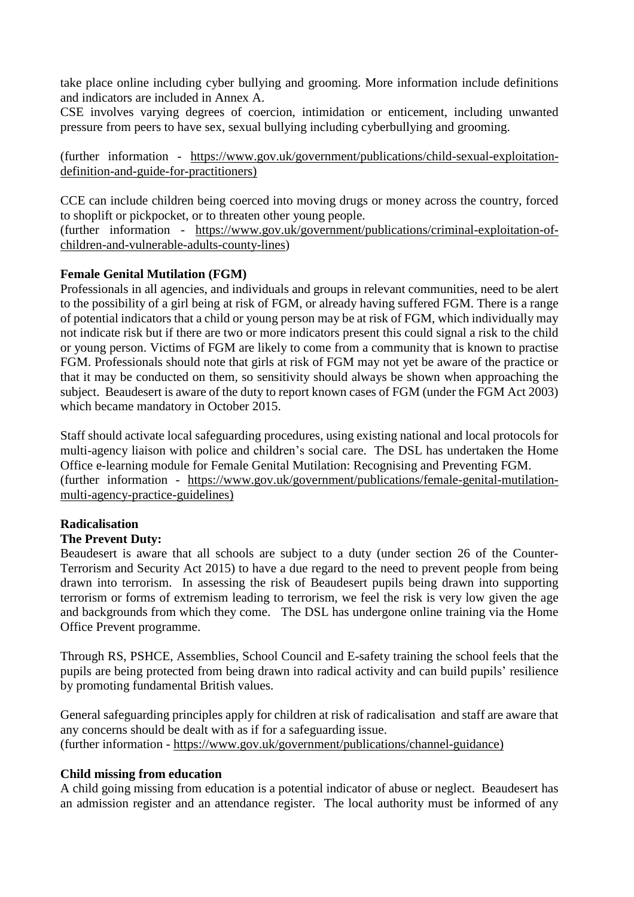take place online including cyber bullying and grooming. More information include definitions and indicators are included in Annex A.

CSE involves varying degrees of coercion, intimidation or enticement, including unwanted pressure from peers to have sex, sexual bullying including cyberbullying and grooming.

(further information - [https://www.gov.uk/government/publications/child-sexual-exploitation](https://www.gov.uk/government/publications/child-sexual-exploitation-definition-and-guide-for-practitioners)[definition-and-guide-for-practitioners\)](https://www.gov.uk/government/publications/child-sexual-exploitation-definition-and-guide-for-practitioners)

CCE can include children being coerced into moving drugs or money across the country, forced to shoplift or pickpocket, or to threaten other young people.

(further information - [https://www.gov.uk/government/publications/criminal-exploitation-of](https://www.gov.uk/government/publications/criminal-exploitation-of-children-and-vulnerable-adults-county-lines)[children-and-vulnerable-adults-county-lines\)](https://www.gov.uk/government/publications/criminal-exploitation-of-children-and-vulnerable-adults-county-lines)

### **Female Genital Mutilation (FGM)**

Professionals in all agencies, and individuals and groups in relevant communities, need to be alert to the possibility of a girl being at risk of FGM, or already having suffered FGM. There is a range of potential indicators that a child or young person may be at risk of FGM, which individually may not indicate risk but if there are two or more indicators present this could signal a risk to the child or young person. Victims of FGM are likely to come from a community that is known to practise FGM. Professionals should note that girls at risk of FGM may not yet be aware of the practice or that it may be conducted on them, so sensitivity should always be shown when approaching the subject. Beaudesert is aware of the duty to report known cases of FGM (under the FGM Act 2003) which became mandatory in October 2015.

Staff should activate local safeguarding procedures, using existing national and local protocols for multi-agency liaison with police and children's social care. The DSL has undertaken the Home Office e-learning module for Female Genital Mutilation: Recognising and Preventing FGM. (further information - [https://www.gov.uk/government/publications/female-genital-mutilation](https://www.gov.uk/government/publications/female-genital-mutilation-multi-agency-practice-guidelines)[multi-agency-practice-guidelines\)](https://www.gov.uk/government/publications/female-genital-mutilation-multi-agency-practice-guidelines)

# **Radicalisation**

### **The Prevent Duty:**

Beaudesert is aware that all schools are subject to a duty (under section 26 of the Counter-Terrorism and Security Act 2015) to have a due regard to the need to prevent people from being drawn into terrorism. In assessing the risk of Beaudesert pupils being drawn into supporting terrorism or forms of extremism leading to terrorism, we feel the risk is very low given the age and backgrounds from which they come. The DSL has undergone online training via the Home Office Prevent programme.

Through RS, PSHCE, Assemblies, School Council and E-safety training the school feels that the pupils are being protected from being drawn into radical activity and can build pupils' resilience by promoting fundamental British values.

General safeguarding principles apply for children at risk of radicalisation and staff are aware that any concerns should be dealt with as if for a safeguarding issue. (further information - [https://www.gov.uk/government/publications/channel-guidance\)](https://www.gov.uk/government/publications/channel-guidance)

### **Child missing from education**

A child going missing from education is a potential indicator of abuse or neglect. Beaudesert has an admission register and an attendance register. The local authority must be informed of any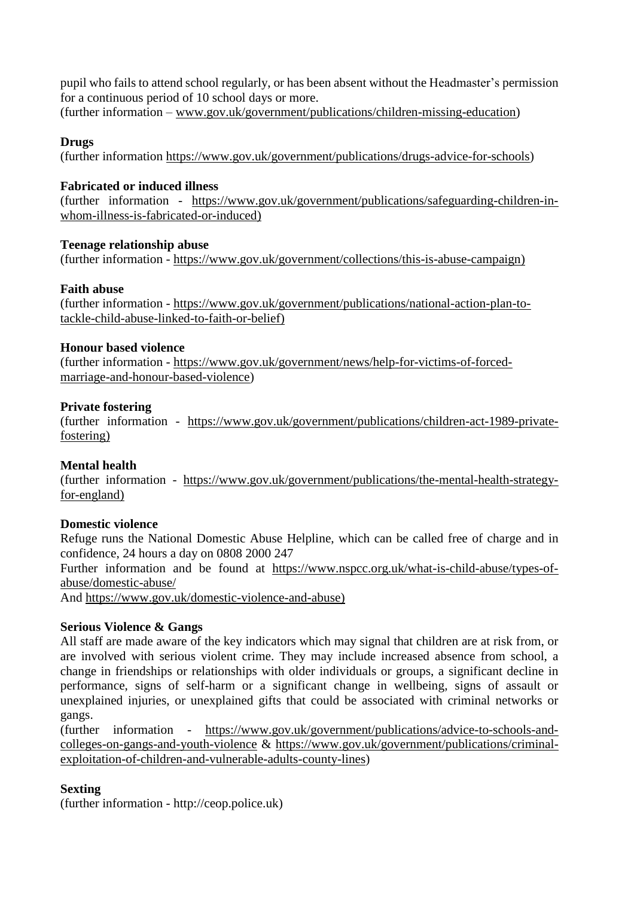pupil who fails to attend school regularly, or has been absent without the Headmaster's permission for a continuous period of 10 school days or more. (further information – [www.gov.uk/government/publications/children-missing-education\)](http://www.gov.uk/government/publications/children-missing-education)

### **Drugs**

(further information [https://www.gov.uk/government/publications/drugs-advice-for-schools\)](https://www.gov.uk/government/publications/drugs-advice-for-schools)

#### **Fabricated or induced illness**

(further information - [https://www.gov.uk/government/publications/safeguarding-children-in](https://www.gov.uk/government/publications/safeguarding-children-in-whom-illness-is-fabricated-or-induced)[whom-illness-is-fabricated-or-induced\)](https://www.gov.uk/government/publications/safeguarding-children-in-whom-illness-is-fabricated-or-induced)

#### **Teenage relationship abuse**

(further information - [https://www.gov.uk/government/collections/this-is-abuse-campaign\)](https://www.gov.uk/government/collections/this-is-abuse-campaign)

#### **Faith abuse**

(further information - [https://www.gov.uk/government/publications/national-action-plan-to](https://www.gov.uk/government/publications/national-action-plan-to-tackle-child-abuse-linked-to-faith-or-belief)[tackle-child-abuse-linked-to-faith-or-belief\)](https://www.gov.uk/government/publications/national-action-plan-to-tackle-child-abuse-linked-to-faith-or-belief)

#### **Honour based violence**

(further information - [https://www.gov.uk/government/news/help-for-victims-of-forced](https://www.gov.uk/government/news/help-for-victims-of-forced-marriage-and-honour-based-violence)[marriage-and-honour-based-violence\)](https://www.gov.uk/government/news/help-for-victims-of-forced-marriage-and-honour-based-violence)

#### **Private fostering**

(further information - [https://www.gov.uk/government/publications/children-act-1989-private](https://www.gov.uk/government/publications/children-act-1989-private-fostering)[fostering\)](https://www.gov.uk/government/publications/children-act-1989-private-fostering)

### **Mental health**

(further information - [https://www.gov.uk/government/publications/the-mental-health-strategy](https://www.gov.uk/government/publications/the-mental-health-strategy-for-england)[for-england\)](https://www.gov.uk/government/publications/the-mental-health-strategy-for-england)

### **Domestic violence**

Refuge runs the National Domestic Abuse Helpline, which can be called free of charge and in confidence, 24 hours a day on 0808 2000 247

Further information and be found at [https://www.nspcc.org.uk/what-is-child-abuse/types-of](https://www.nspcc.org.uk/what-is-child-abuse/types-of-abuse/domestic-abuse/)[abuse/domestic-abuse/](https://www.nspcc.org.uk/what-is-child-abuse/types-of-abuse/domestic-abuse/)

And [https://www.gov.uk/domestic-violence-and-abuse\)](https://www.gov.uk/domestic-violence-and-abuse)

### **Serious Violence & Gangs**

All staff are made aware of the key indicators which may signal that children are at risk from, or are involved with serious violent crime. They may include increased absence from school, a change in friendships or relationships with older individuals or groups, a significant decline in performance, signs of self-harm or a significant change in wellbeing, signs of assault or unexplained injuries, or unexplained gifts that could be associated with criminal networks or gangs.

(further information - [https://www.gov.uk/government/publications/advice-to-schools-and](https://www.gov.uk/government/publications/advice-to-schools-and-colleges-on-gangs-and-youth-violence)[colleges-on-gangs-and-youth-violence](https://www.gov.uk/government/publications/advice-to-schools-and-colleges-on-gangs-and-youth-violence) & [https://www.gov.uk/government/publications/criminal](https://www.gov.uk/government/publications/criminal-exploitation-of-children-and-vulnerable-adults-county-lines)[exploitation-of-children-and-vulnerable-adults-county-lines\)](https://www.gov.uk/government/publications/criminal-exploitation-of-children-and-vulnerable-adults-county-lines)

### **Sexting**

(further information - http://ceop.police.uk)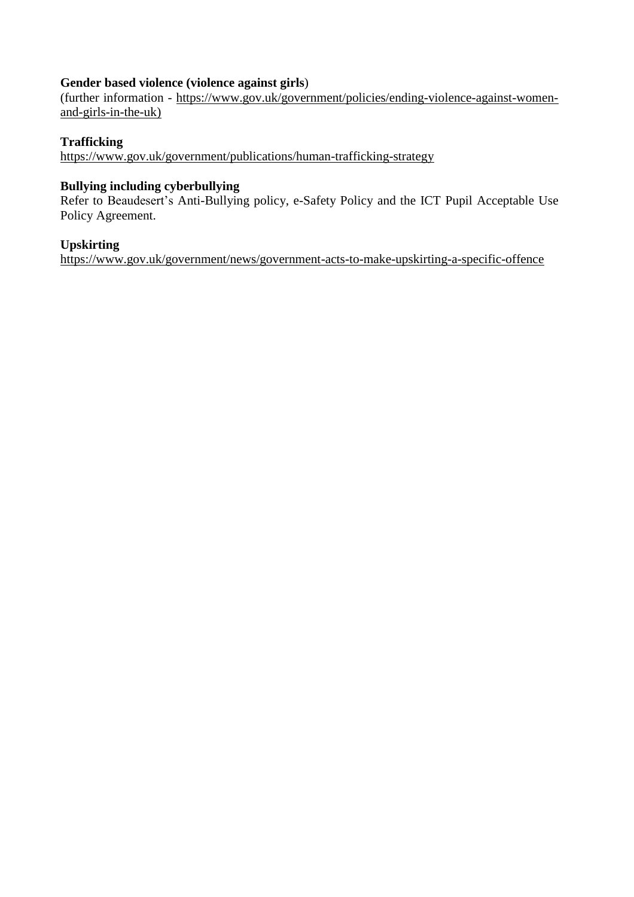### **Gender based violence (violence against girls**)

(further information - [https://www.gov.uk/government/policies/ending-violence-against-women](https://www.gov.uk/government/policies/ending-violence-against-women-and-girls-in-the-uk)[and-girls-in-the-uk\)](https://www.gov.uk/government/policies/ending-violence-against-women-and-girls-in-the-uk)

#### **Trafficking**

<https://www.gov.uk/government/publications/human-trafficking-strategy>

# **Bullying including cyberbullying**

Refer to Beaudesert's Anti-Bullying policy, e-Safety Policy and the ICT Pupil Acceptable Use Policy Agreement.

### **Upskirting**

<https://www.gov.uk/government/news/government-acts-to-make-upskirting-a-specific-offence>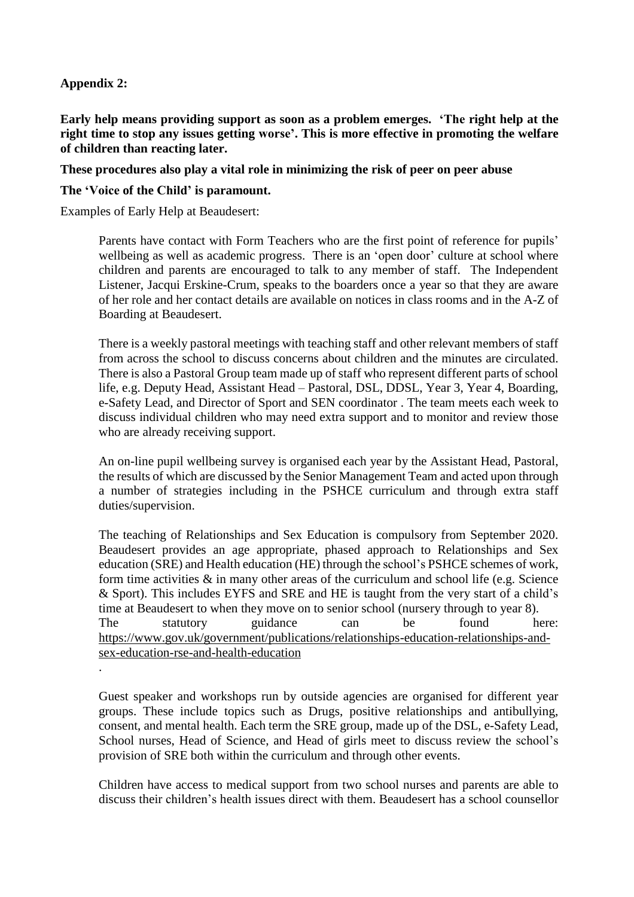### **Appendix 2:**

.

**Early help means providing support as soon as a problem emerges. 'The right help at the right time to stop any issues getting worse'. This is more effective in promoting the welfare of children than reacting later.**

#### **These procedures also play a vital role in minimizing the risk of peer on peer abuse**

#### **The 'Voice of the Child' is paramount.**

Examples of Early Help at Beaudesert:

Parents have contact with Form Teachers who are the first point of reference for pupils' wellbeing as well as academic progress. There is an 'open door' culture at school where children and parents are encouraged to talk to any member of staff. The Independent Listener, Jacqui Erskine-Crum, speaks to the boarders once a year so that they are aware of her role and her contact details are available on notices in class rooms and in the A-Z of Boarding at Beaudesert.

There is a weekly pastoral meetings with teaching staff and other relevant members of staff from across the school to discuss concerns about children and the minutes are circulated. There is also a Pastoral Group team made up of staff who represent different parts of school life, e.g. Deputy Head, Assistant Head – Pastoral, DSL, DDSL, Year 3, Year 4, Boarding, e-Safety Lead, and Director of Sport and SEN coordinator . The team meets each week to discuss individual children who may need extra support and to monitor and review those who are already receiving support.

An on-line pupil wellbeing survey is organised each year by the Assistant Head, Pastoral, the results of which are discussed by the Senior Management Team and acted upon through a number of strategies including in the PSHCE curriculum and through extra staff duties/supervision.

The teaching of Relationships and Sex Education is compulsory from September 2020. Beaudesert provides an age appropriate, phased approach to Relationships and Sex education (SRE) and Health education (HE) through the school's PSHCE schemes of work, form time activities  $\&$  in many other areas of the curriculum and school life (e.g. Science & Sport). This includes EYFS and SRE and HE is taught from the very start of a child's time at Beaudesert to when they move on to senior school (nursery through to year 8). The statutory guidance can be found here: [https://www.gov.uk/government/publications/relationships-education-relationships-and](https://www.gov.uk/government/publications/relationships-education-relationships-and-sex-education-rse-and-health-education)[sex-education-rse-and-health-education](https://www.gov.uk/government/publications/relationships-education-relationships-and-sex-education-rse-and-health-education)

Guest speaker and workshops run by outside agencies are organised for different year groups. These include topics such as Drugs, positive relationships and antibullying, consent, and mental health. Each term the SRE group, made up of the DSL, e-Safety Lead, School nurses, Head of Science, and Head of girls meet to discuss review the school's provision of SRE both within the curriculum and through other events.

Children have access to medical support from two school nurses and parents are able to discuss their children's health issues direct with them. Beaudesert has a school counsellor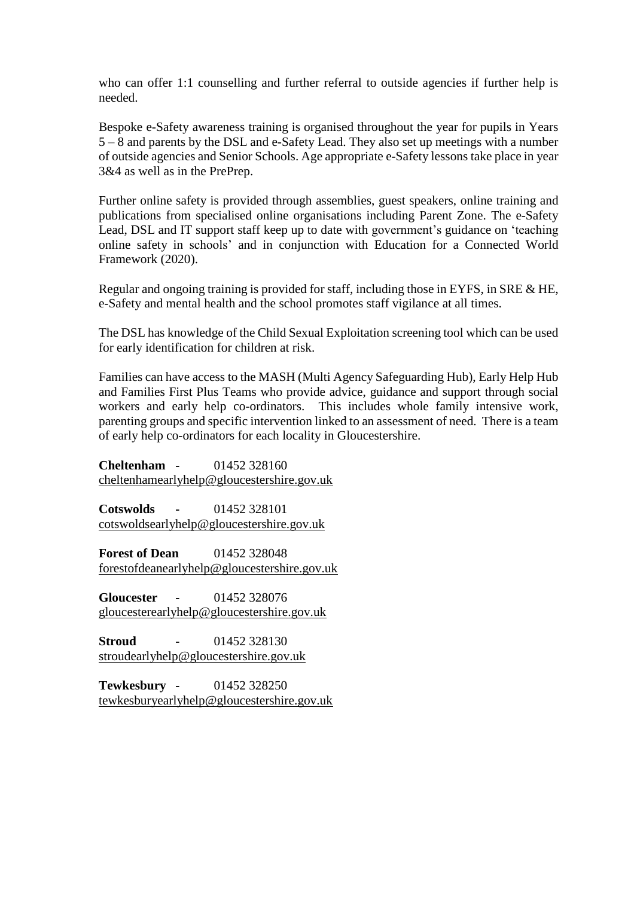who can offer 1:1 counselling and further referral to outside agencies if further help is needed.

Bespoke e-Safety awareness training is organised throughout the year for pupils in Years 5 – 8 and parents by the DSL and e-Safety Lead. They also set up meetings with a number of outside agencies and Senior Schools. Age appropriate e-Safety lessons take place in year 3&4 as well as in the PrePrep.

Further online safety is provided through assemblies, guest speakers, online training and publications from specialised online organisations including Parent Zone. The e-Safety Lead, DSL and IT support staff keep up to date with government's guidance on 'teaching online safety in schools' and in conjunction with Education for a Connected World Framework (2020).

Regular and ongoing training is provided for staff, including those in EYFS, in SRE & HE, e-Safety and mental health and the school promotes staff vigilance at all times.

The DSL has knowledge of the Child Sexual Exploitation screening tool which can be used for early identification for children at risk.

Families can have access to the MASH (Multi Agency Safeguarding Hub), Early Help Hub and Families First Plus Teams who provide advice, guidance and support through social workers and early help co-ordinators. This includes whole family intensive work, parenting groups and specific intervention linked to an assessment of need. There is a team of early help co-ordinators for each locality in Gloucestershire.

**Cheltenham -** 01452 328160 [cheltenhamearlyhelp@gloucestershire.gov.uk](mailto:cheltenhamearlyhelp@gloucestershire.gov.uk)

**Cotswolds -** 01452 328101 [cotswoldsearlyhelp@gloucestershire.gov.uk](mailto:cotswoldsearlyhelp@gloucestershire.gov.uk)

**Forest of Dean** 01452 328048 [forestofdeanearlyhelp@gloucestershire.gov.uk](mailto:forestofdeanearlyhelp@gloucestershire.gov.uk)

**Gloucester -** 01452 328076 [gloucesterearlyhelp@gloucestershire.gov.uk](mailto:gloucesterearlyhelp@gloucestershire.gov.uk)

**Stroud -** 01452 328130 [stroudearlyhelp@gloucestershire.gov.uk](mailto:stroudearlyhelp@gloucestershire.gov.uk)

**Tewkesbury -** 01452 328250 [tewkesburyearlyhelp@gloucestershire.gov.uk](mailto:tewkesburyearlyhelp@gloucestershire.gov.uk)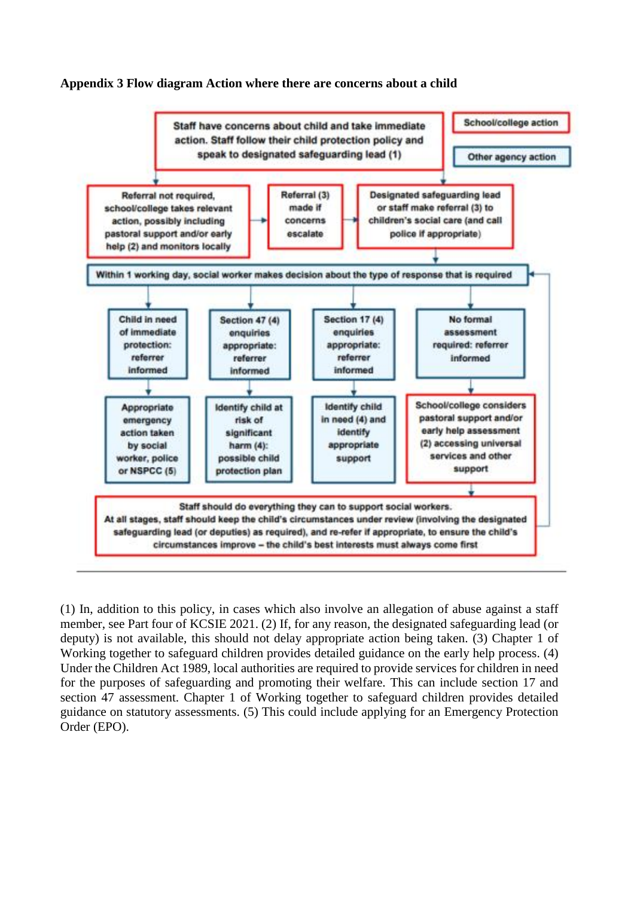### **Appendix 3 Flow diagram Action where there are concerns about a child**



(1) In, addition to this policy, in cases which also involve an allegation of abuse against a staff member, see Part four of KCSIE 2021. (2) If, for any reason, the designated safeguarding lead (or deputy) is not available, this should not delay appropriate action being taken. (3) Chapter 1 of Working together to safeguard children provides detailed guidance on the early help process. (4) Under the Children Act 1989, local authorities are required to provide services for children in need for the purposes of safeguarding and promoting their welfare. This can include section 17 and section 47 assessment. Chapter 1 of Working together to safeguard children provides detailed guidance on statutory assessments. (5) This could include applying for an Emergency Protection Order (EPO).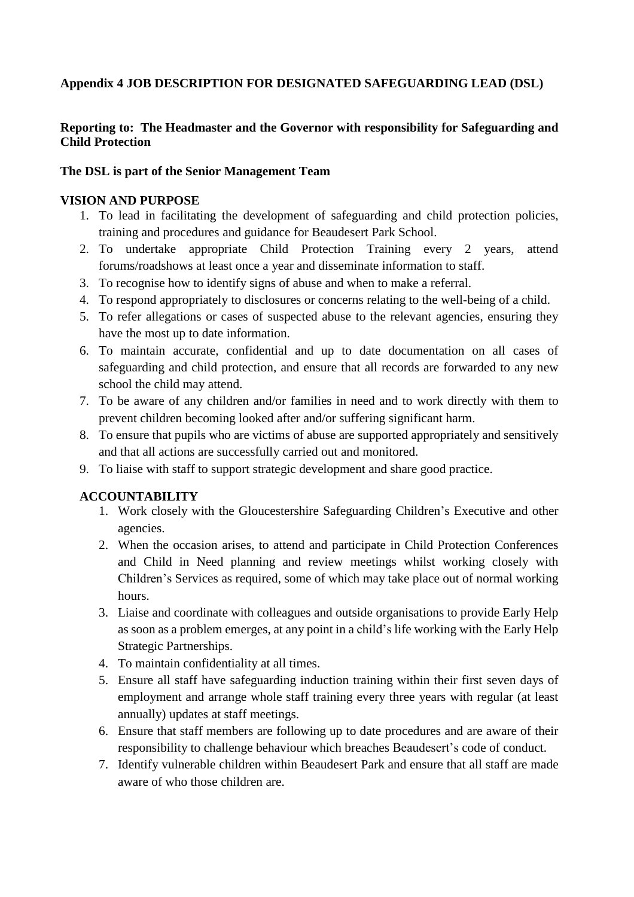# **Appendix 4 JOB DESCRIPTION FOR DESIGNATED SAFEGUARDING LEAD (DSL)**

### **Reporting to: The Headmaster and the Governor with responsibility for Safeguarding and Child Protection**

#### **The DSL is part of the Senior Management Team**

#### **VISION AND PURPOSE**

- 1. To lead in facilitating the development of safeguarding and child protection policies, training and procedures and guidance for Beaudesert Park School.
- 2. To undertake appropriate Child Protection Training every 2 years, attend forums/roadshows at least once a year and disseminate information to staff.
- 3. To recognise how to identify signs of abuse and when to make a referral.
- 4. To respond appropriately to disclosures or concerns relating to the well-being of a child.
- 5. To refer allegations or cases of suspected abuse to the relevant agencies, ensuring they have the most up to date information.
- 6. To maintain accurate, confidential and up to date documentation on all cases of safeguarding and child protection, and ensure that all records are forwarded to any new school the child may attend.
- 7. To be aware of any children and/or families in need and to work directly with them to prevent children becoming looked after and/or suffering significant harm.
- 8. To ensure that pupils who are victims of abuse are supported appropriately and sensitively and that all actions are successfully carried out and monitored.
- 9. To liaise with staff to support strategic development and share good practice.

### **ACCOUNTABILITY**

- 1. Work closely with the Gloucestershire Safeguarding Children's Executive and other agencies.
- 2. When the occasion arises, to attend and participate in Child Protection Conferences and Child in Need planning and review meetings whilst working closely with Children's Services as required, some of which may take place out of normal working hours.
- 3. Liaise and coordinate with colleagues and outside organisations to provide Early Help as soon as a problem emerges, at any point in a child's life working with the Early Help Strategic Partnerships.
- 4. To maintain confidentiality at all times.
- 5. Ensure all staff have safeguarding induction training within their first seven days of employment and arrange whole staff training every three years with regular (at least annually) updates at staff meetings.
- 6. Ensure that staff members are following up to date procedures and are aware of their responsibility to challenge behaviour which breaches Beaudesert's code of conduct.
- 7. Identify vulnerable children within Beaudesert Park and ensure that all staff are made aware of who those children are.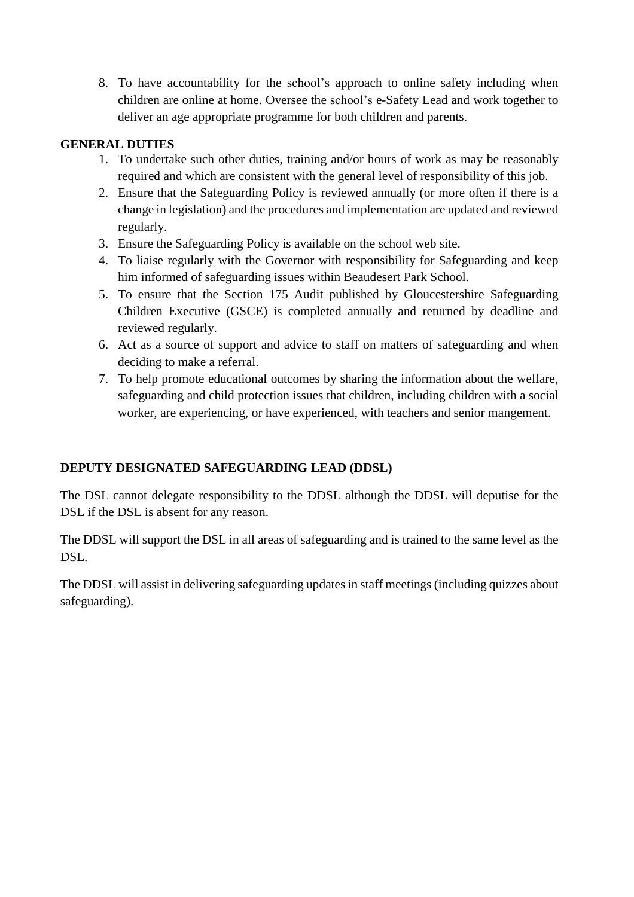8. To have accountability for the school's approach to online safety including when children are online at home. Oversee the school's e-Safety Lead and work together to deliver an age appropriate programme for both children and parents.

### **GENERAL DUTIES**

- 1. To undertake such other duties, training and/or hours of work as may be reasonably required and which are consistent with the general level of responsibility of this job.
- 2. Ensure that the Safeguarding Policy is reviewed annually (or more often if there is a change in legislation) and the procedures and implementation are updated and reviewed regularly.
- 3. Ensure the Safeguarding Policy is available on the school web site.
- 4. To liaise regularly with the Governor with responsibility for Safeguarding and keep him informed of safeguarding issues within Beaudesert Park School.
- 5. To ensure that the Section 175 Audit published by Gloucestershire Safeguarding Children Executive (GSCE) is completed annually and returned by deadline and reviewed regularly.
- 6. Act as a source of support and advice to staff on matters of safeguarding and when deciding to make a referral.
- 7. To help promote educational outcomes by sharing the information about the welfare, safeguarding and child protection issues that children, including children with a social worker, are experiencing, or have experienced, with teachers and senior mangement.

### **DEPUTY DESIGNATED SAFEGUARDING LEAD (DDSL)**

The DSL cannot delegate responsibility to the DDSL although the DDSL will deputise for the DSL if the DSL is absent for any reason.

The DDSL will support the DSL in all areas of safeguarding and is trained to the same level as the DSL.

The DDSL will assist in delivering safeguarding updates in staff meetings (including quizzes about safeguarding).